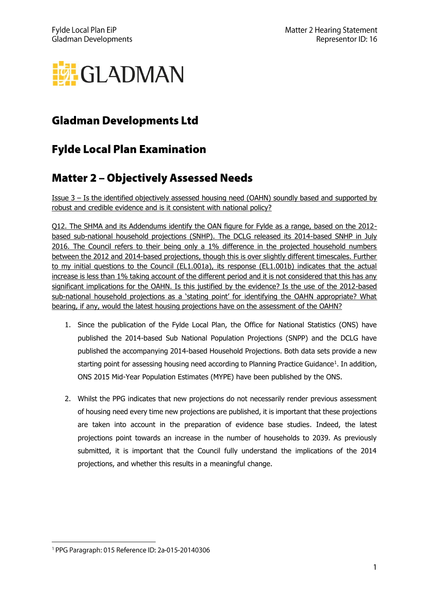

## **Gladman Developments Ltd**

## **Fylde Local Plan Examination**

## **Matter 2 - Objectively Assessed Needs**

Issue 3 – Is the identified objectively assessed housing need (OAHN) soundly based and supported by robust and credible evidence and is it consistent with national policy?

Q12. The SHMA and its Addendums identify the OAN figure for Fylde as a range, based on the 2012 based sub-national household projections (SNHP). The DCLG released its 2014-based SNHP in July 2016. The Council refers to their being only a 1% difference in the projected household numbers between the 2012 and 2014-based projections, though this is over slightly different timescales. Further to my initial questions to the Council (EL1.001a), its response (EL1.001b) indicates that the actual increase is less than 1% taking account of the different period and it is not considered that this has any significant implications for the OAHN. Is this justified by the evidence? Is the use of the 2012-based sub-national household projections as a 'stating point' for identifying the OAHN appropriate? What bearing, if any, would the latest housing projections have on the assessment of the OAHN?

- 1. Since the publication of the Fylde Local Plan, the Office for National Statistics (ONS) have published the 2014-based Sub National Population Projections (SNPP) and the DCLG have published the accompanying 2014-based Household Projections. Both data sets provide a new starting point for assessing housing need according to Planning Practice Guidance<sup>1</sup>. In addition, ONS 2015 Mid-Year Population Estimates (MYPE) have been published by the ONS.
- 2. Whilst the PPG indicates that new projections do not necessarily render previous assessment of housing need every time new projections are published, it is important that these projections are taken into account in the preparation of evidence base studies. Indeed, the latest projections point towards an increase in the number of households to 2039. As previously submitted, it is important that the Council fully understand the implications of the 2014 projections, and whether this results in a meaningful change.

<sup>&</sup>lt;sup>1</sup> PPG Paragraph: 015 Reference ID: 2a-015-20140306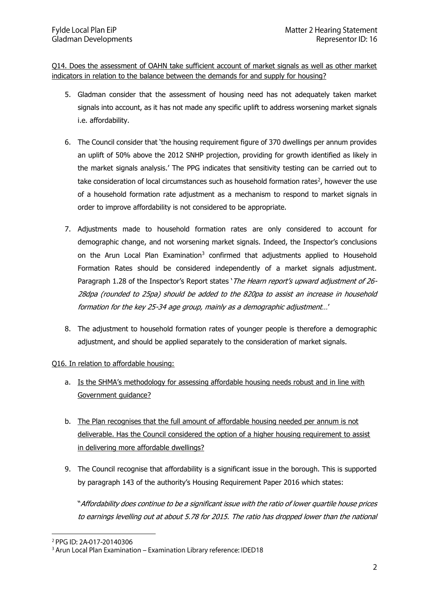Q14. Does the assessment of OAHN take sufficient account of market signals as well as other market indicators in relation to the balance between the demands for and supply for housing?

- 5. Gladman consider that the assessment of housing need has not adequately taken market signals into account, as it has not made any specific uplift to address worsening market signals i.e. affordability.
- 6. The Council consider that 'the housing requirement figure of 370 dwellings per annum provides an uplift of 50% above the 2012 SNHP projection, providing for growth identified as likely in the market signals analysis.' The PPG indicates that sensitivity testing can be carried out to take consideration of local circumstances such as household formation rates<sup>2</sup>, however the use of a household formation rate adjustment as a mechanism to respond to market signals in order to improve affordability is not considered to be appropriate.
- 7. Adjustments made to household formation rates are only considered to account for demographic change, and not worsening market signals. Indeed, the Inspector's conclusions on the Arun Local Plan Examination<sup>3</sup> confirmed that adjustments applied to Household Formation Rates should be considered independently of a market signals adjustment. Paragraph 1.28 of the Inspector's Report states 'The Hearn report's upward adjustment of 26-28dpa (rounded to 25pa) should be added to the 820pa to assist an increase in household formation for the key 25-34 age group, mainly as a demographic adjustment…'
- 8. The adjustment to household formation rates of younger people is therefore a demographic adjustment, and should be applied separately to the consideration of market signals.

## Q16. In relation to affordable housing:

- a. Is the SHMA's methodology for assessing affordable housing needs robust and in line with Government guidance?
- b. The Plan recognises that the full amount of affordable housing needed per annum is not deliverable. Has the Council considered the option of a higher housing requirement to assist in delivering more affordable dwellings?
- 9. The Council recognise that affordability is a significant issue in the borough. This is supported by paragraph 143 of the authority's Housing Requirement Paper 2016 which states:

"Affordability does continue to be a significant issue with the ratio of lower quartile house prices to earnings levelling out at about 5.78 for 2015. The ratio has dropped lower than the national

<sup>2</sup> PPG ID: 2A-017-20140306

<sup>&</sup>lt;sup>3</sup> Arun Local Plan Examination - Examination Library reference: IDED18